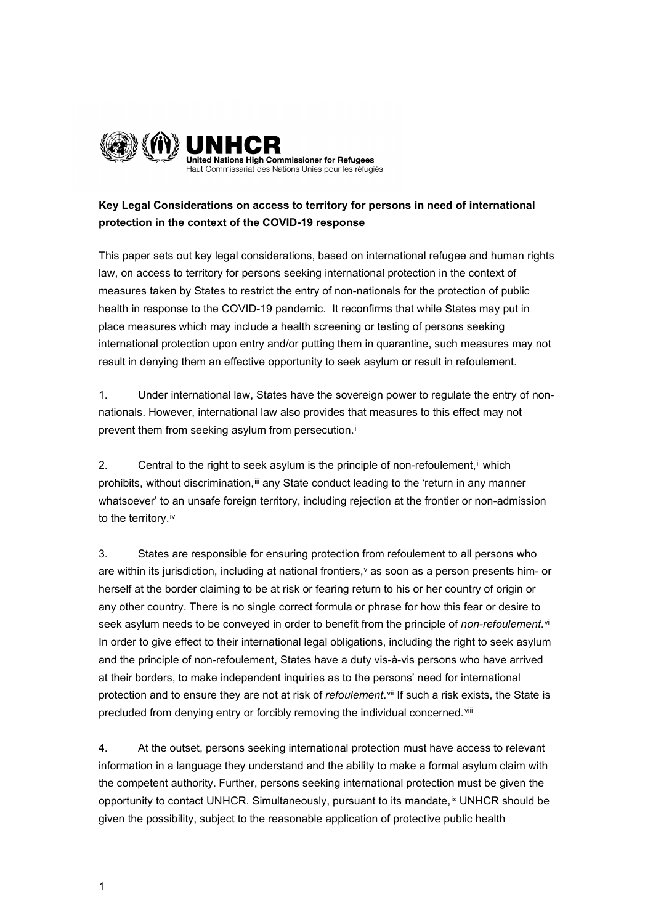

## **Key Legal Considerations on access to territory for persons in need of international protection in the context of the COVID-19 response**

This paper sets out key legal considerations, based on international refugee and human rights law, on access to territory for persons seeking international protection in the context of measures taken by States to restrict the entry of non-nationals for the protection of public health in response to the COVID-19 pandemic. It reconfirms that while States may put in place measures which may include a health screening or testing of persons seeking international protection upon entry and/or putting them in quarantine, such measures may not result in denying them an effective opportunity to seek asylum or result in refoulement.

1. Under international law, States have the sovereign power to regulate the entry of nonnationals. However, international law also provides that measures to this effect may not prevent them from seek[i](#page-2-0)ng asylum from persecution.<sup>i</sup>

2. Central to the right to seek asylum is the principle of non-refoulement,  $\mathbf{F}$  which prohibits, without discrimination,<sup>[iii](#page-2-2)</sup> any State conduct leading to the 'return in any manner whatsoever' to an unsafe foreign territory, including rejection at the frontier or non-admission to the territory.<sup>[iv](#page-2-3)</sup>

3. States are responsible for ensuring protection from refoulement to all persons who are within its jurisdiction, including at national frontiers,  $\theta$  as soon as a person presents him- or herself at the border claiming to be at risk or fearing return to his or her country of origin or any other country. There is no single correct formula or phrase for how this fear or desire to seek asylum needs to be conveyed in order to benefit from the principle of *non-refoulement*.<sup>[vi](#page-2-5)</sup> In order to give effect to their international legal obligations, including the right to seek asylum and the principle of non-refoulement, States have a duty vis-à-vis persons who have arrived at their borders, to make independent inquiries as to the persons' need for international protection and to ensure they are not at risk of *refoulement*.[vii](#page-2-6) If such a risk exists, the State is precluded from denying entry or forcibly removing the individual concerned.<sup>[viii](#page-3-0)</sup>

4. At the outset, persons seeking international protection must have access to relevant information in a language they understand and the ability to make a formal asylum claim with the competent authority. Further, persons seeking international protection must be given the opportunity to contact UNHCR. Simultaneously, pursuant to its mandate, [ix](#page-3-1) UNHCR should be given the possibility, subject to the reasonable application of protective public health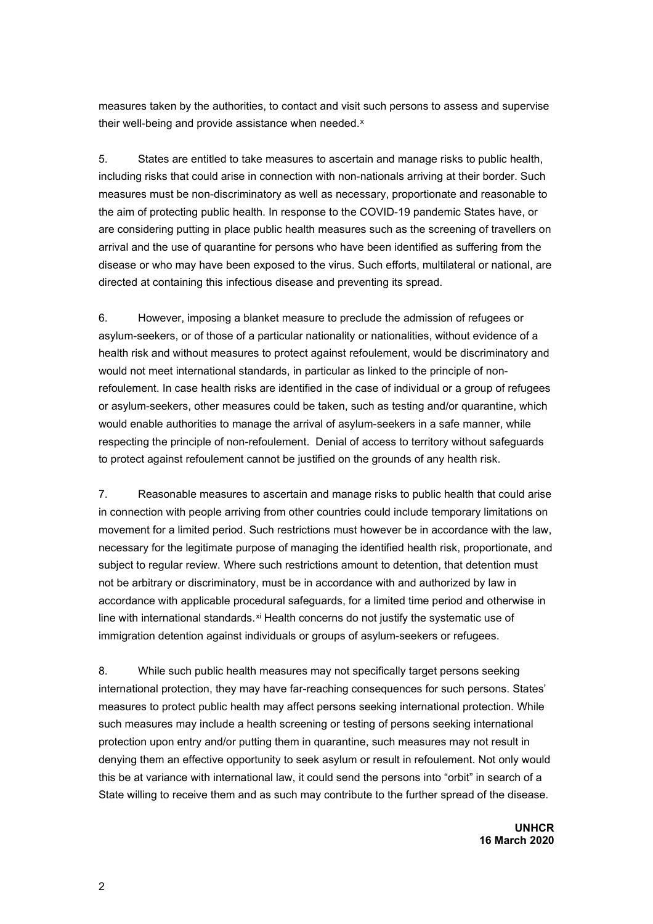measures taken by the authorities, to contact and visit such persons to assess and supervise their well-being and provide assistance when needed.<sup>[x](#page-3-2)</sup>

5. States are entitled to take measures to ascertain and manage risks to public health, including risks that could arise in connection with non-nationals arriving at their border. Such measures must be non-discriminatory as well as necessary, proportionate and reasonable to the aim of protecting public health. In response to the COVID-19 pandemic States have, or are considering putting in place public health measures such as the screening of travellers on arrival and the use of quarantine for persons who have been identified as suffering from the disease or who may have been exposed to the virus. Such efforts, multilateral or national, are directed at containing this infectious disease and preventing its spread.

6. However, imposing a blanket measure to preclude the admission of refugees or asylum-seekers, or of those of a particular nationality or nationalities, without evidence of a health risk and without measures to protect against refoulement, would be discriminatory and would not meet international standards, in particular as linked to the principle of nonrefoulement. In case health risks are identified in the case of individual or a group of refugees or asylum-seekers, other measures could be taken, such as testing and/or quarantine, which would enable authorities to manage the arrival of asylum-seekers in a safe manner, while respecting the principle of non-refoulement. Denial of access to territory without safeguards to protect against refoulement cannot be justified on the grounds of any health risk.

7. Reasonable measures to ascertain and manage risks to public health that could arise in connection with people arriving from other countries could include temporary limitations on movement for a limited period. Such restrictions must however be in accordance with the law, necessary for the legitimate purpose of managing the identified health risk, proportionate, and subject to regular review. Where such restrictions amount to detention, that detention must not be arbitrary or discriminatory, must be in accordance with and authorized by law in accordance with applicable procedural safeguards, for a limited time period and otherwise in line with international standards.<sup>[xi](#page-3-3)</sup> Health concerns do not justify the systematic use of immigration detention against individuals or groups of asylum-seekers or refugees.

8. While such public health measures may not specifically target persons seeking international protection, they may have far-reaching consequences for such persons. States' measures to protect public health may affect persons seeking international protection. While such measures may include a health screening or testing of persons seeking international protection upon entry and/or putting them in quarantine, such measures may not result in denying them an effective opportunity to seek asylum or result in refoulement. Not only would this be at variance with international law, it could send the persons into "orbit" in search of a State willing to receive them and as such may contribute to the further spread of the disease.

> **UNHCR 16 March 2020**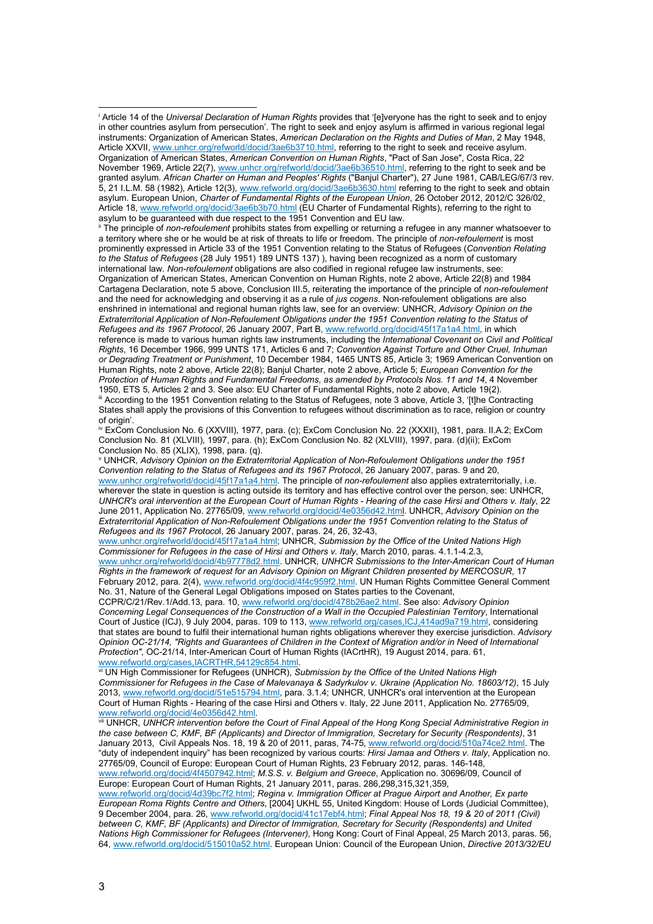<span id="page-2-1"></span>ii The principle of *non-refoulement* prohibits states from expelling or returning a refugee in any manner whatsoever to a territory where she or he would be at risk of threats to life or freedom. The principle of *non-refoulement* is most prominently expressed in Article 33 of the 1951 Convention relating to the Status of Refugees (*Convention Relating to the Status of Refugees* (28 July 1951) 189 UNTS 137) ), having been recognized as a norm of customary international law. *Non-refoulement* obligations are also codified in regional refugee law instruments, see: Organization of American States, American Convention on Human Rights, note 2 above, Article 22(8) and 1984 Cartagena Declaration, note 5 above, Conclusion III.5, reiterating the importance of the principle of *non-refoulement* and the need for acknowledging and observing it as a rule of *jus cogens*. Non-refoulement obligations are also enshrined in international and regional human rights law, see for an overview: UNHCR, *Advisory Opinion on the Extraterritorial Application of Non-Refoulement Obligations under the 1951 Convention relating to the Status of Refugees and its 1967 Protocol*, 26 January 2007, Part B[, www.refworld.org/docid/45f17a1a4.html,](http://www.refworld.org/docid/45f17a1a4.html) in which reference is made to various human rights law instruments, including the *International Covenant on Civil and Political Rights*, 16 December 1966, 999 UNTS 171, Articles 6 and 7; *Convention Against Torture and Other Cruel, Inhuman or Degrading Treatment or Punishment*, 10 December 1984, 1465 UNTS 85, Article 3; 1969 American Convention on Human Rights, note 2 above, Article 22(8); Banjul Charter, note 2 above, Article 5; *European Convention for the Protection of Human Rights and Fundamental Freedoms, as amended by Protocols Nos. 11 and 14*, 4 November 1950, ETS 5, Articles 2 and 3. See also: EU Charter of Fundamental Rights, note 2 above, Article 19(2). iii According to the 1951 Convention relating to the Status of Refugees, note 3 above, Article 3, '[t]he Contracting States shall apply the provisions of this Convention to refugees without discrimination as to race, religion or country of origin'

<span id="page-2-3"></span><span id="page-2-2"></span>iv ExCom Conclusion No. 6 (XXVIII), 1977, para. (c); ExCom Conclusion No. 22 (XXXII), 1981, para. II.A.2; ExCom Conclusion No. 81 (XLVIII), 1997, para. (h); ExCom Conclusion No. 82 (XLVIII), 1997, para. (d)(ii); ExCom Conclusion No. 85 (XLIX), 1998, para. (q).

<span id="page-2-4"></span><sup>v</sup> UNHCR, *Advisory Opinion on the Extraterritorial Application of Non-Refoulement Obligations under the 1951 Convention relating to the Status of Refugees and its 1967 Protoco*l, 26 January 2007, paras. 9 and 20, [www.unhcr.org/refworld/docid/45f17a1a4.html.](http://www.unhcr.org/refworld/docid/45f17a1a4.html) The principle of *non-refoulement* also applies extraterritorially, i.e. wherever the state in question is acting outside its territory and has effective control over the person, see: UNHCR, *UNHCR's oral intervention at the European Court of Human Rights - Hearing of the case Hirsi and Others v. Italy*, 22 June 2011, Application No. 27765/09[, www.refworld.org/docid/4e0356d42.html.](http://www.refworld.org/docid/4e0356d42.htm) UNHCR, *Advisory Opinion on the*  **Extraterritorial Application of Non-Refoulement Obligations under the 1951 Convention relating to the Status of** *Refugees and its 1967 Protoco*l, 26 January 2007, paras. 24, 26, 32-43,

[www.unhcr.org/refworld/docid/45f17a1a4.html;](http://www.unhcr.org/refworld/docid/45f17a1a4.html) UNHCR, *Submission by the Office of the United Nations High Commissioner for Refugees in the case of Hirsi and Others v. Italy*, March 2010, paras. 4.1.1-4.2.3, [www.unhcr.org/refworld/docid/4b97778d2.html.](http://www.unhcr.org/refworld/docid/4b97778d2.html) UNHCR, *UNHCR Submissions to the Inter-American Court of Human Rights in the framework of request for an Advisory Opinion on Migrant Children presented by MERCOSUR*, 17 February 2012, para. 2(4)[, www.refworld.org/docid/4f4c959f2.html.](http://www.refworld.org/docid/4f4c959f2.html) UN Human Rights Committee General Comment No. 31, Nature of the General Legal Obligations imposed on States parties to the Covenant,

CCPR/C/21/Rev.1/Add.13, para. 10[, www.refworld.org/docid/478b26ae2.html.](http://www.refworld.org/docid/478b26ae2.html) See also: *Advisory Opinion Concerning Legal Consequences of the Construction of a Wall in the Occupied Palestinian Territory*, International Court of Justice (ICJ), 9 July 2004, paras. 109 to 113[, www.refworld.org/cases,ICJ,414ad9a719.html,](http://www.refworld.org/cases,ICJ,414ad9a719.html) considering that states are bound to fulfil their international human rights obligations wherever they exercise jurisdiction. *Advisory Opinion OC-21/14, "Rights and Guarantees of Children in the Context of Migration and/or in Need of International Protection"*, OC-21/14, Inter-American Court of Human Rights (IACrtHR), 19 August 2014, para. 61, [www.refworld.org/cases,IACRTHR,54129c854.html.](http://www.refworld.org/cases,IACRTHR,54129c854.html) virginal (and all the Virginia David Triples of the United Nations High **vi UN High Commissioner for Refugees (UNHCR),** *Submission by the Office of the United Nations High* **<b>v** 

<span id="page-2-5"></span>*Commissioner for Refugees in the Case of Malevanaya & Sadyrkulov v. Ukraine (Application No. 18603/12)*, 15 July 2013, [www.refworld.org/docid/51e515794.html,](http://www.refworld.org/docid/51e515794.html) para. 3.1.4; UNHCR, UNHCR's oral intervention at the European Court of Human Rights - Hearing of the case Hirsi and Others v. Italy, 22 June 2011, Application No. 27765/09, [www.refworld.org/docid/4e0356d42.html.](http://www.refworld.org/docid/4e0356d42.html)

<span id="page-2-6"></span>vii UNHCR, *UNHCR intervention before the Court of Final Appeal of the Hong Kong Special Administrative Region in the case between C, KMF, BF (Applicants) and Director of Immigration, Secretary for Security (Respondents)*, 31 January 2013, Civil Appeals Nos. 18, 19 & 20 of 2011, paras, 74-75, [www.refworld.org/docid/510a74ce2.html.](http://www.refworld.org/docid/510a74ce2.html) The "duty of independent inquiry" has been recognized by various courts: *Hirsi Jamaa and Others v. Italy*, Application no. 27765/09, Council of Europe: European Court of Human Rights, 23 February 2012, paras. 146-148, [www.refworld.org/docid/4f4507942.html;](http://www.refworld.org/docid/4f4507942.html) *M.S.S. v. Belgium and Greece*, Application no. 30696/09, Council of Europe: European Court of Human Rights, 21 January 2011, paras. 286,298,315,321,359,

[www.refworld.org/docid/4d39bc7f2.html;](http://www.refworld.org/docid/4d39bc7f2.html) *Regina v. Immigration Officer at Prague Airport and Another, Ex parte European Roma Rights Centre and Others*, [2004] UKHL 55, United Kingdom: House of Lords (Judicial Committee), 9 December 2004, para. 26[, www.refworld.org/docid/41c17ebf4.html;](http://www.refworld.org/docid/41c17ebf4.html) *Final Appeal Nos 18, 19 & 20 of 2011 (Civil) between C, KMF, BF (Applicants) and Director of Immigration, Secretary for Security (Respondents) and United Nations High Commissioner for Refugees (Intervener)*, Hong Kong: Court of Final Appeal, 25 March 2013, paras. 56, 64, [www.refworld.org/docid/515010a52.html.](http://www.refworld.org/docid/515010a52.html) European Union: Council of the European Union, *Directive 2013/32/EU* 

<span id="page-2-0"></span><sup>i</sup> Article 14 of the *Universal Declaration of Human Rights* provides that '[e]veryone has the right to seek and to enjoy in other countries asylum from persecution'. The right to seek and enjoy asylum is affirmed in various regional legal instruments: Organization of American States, *American Declaration on the Rights and Duties of Man*, 2 May 1948, Article XXVII[, www.unhcr.org/refworld/docid/3ae6b3710.html,](http://www.unhcr.org/refworld/docid/3ae6b3710.html) referring to the right to seek and receive asylum. Organization of American States, *American Convention on Human Rights*, "Pact of San Jose", Costa Rica, 22 November 1969, Article 22(7), [www.unhcr.org/refworld/docid/3ae6b36510.html,](http://www.unhcr.org/refworld/docid/3ae6b36510.html) referring to the right to seek and be granted asylum. *African Charter on Human and Peoples' Rights* ("Banjul Charter"), 27 June 1981, CAB/LEG/67/3 rev. 5, 21 I.L.M. 58 (1982), Article 12(3)[, www.refworld.org/docid/3ae6b3630.html](http://www.refworld.org/docid/3ae6b3630.html) referring to the right to seek and obtain asylum. European Union, *Charter of Fundamental Rights of the European Union*, 26 October 2012, 2012/C 326/02, Article 18, [www.refworld.org/docid/3ae6b3b70.html](http://www.refworld.org/docid/3ae6b3b70.html) (EU Charter of Fundamental Rights), referring to the right to asylum to be guaranteed with due respect to the 1951 Convention and EU law.